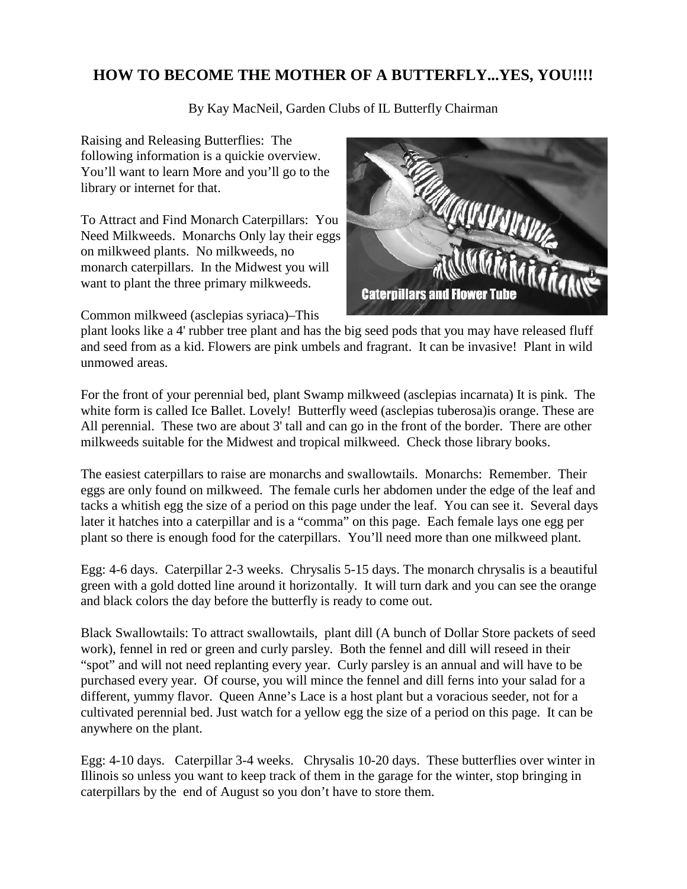## **HOW TO BECOME THE MOTHER OF A BUTTERFLY...YES, YOU!!!!**

By Kay MacNeil, Garden Clubs of IL Butterfly Chairman

Raising and Releasing Butterflies: The following information is a quickie overview. You'll want to learn More and you'll go to the library or internet for that.

To Attract and Find Monarch Caterpillars: You Need Milkweeds. Monarchs Only lay their eggs on milkweed plants. No milkweeds, no monarch caterpillars. In the Midwest you will want to plant the three primary milkweeds.

Common milkweed (asclepias syriaca)–This



plant looks like a 4' rubber tree plant and has the big seed pods that you may have released fluff and seed from as a kid. Flowers are pink umbels and fragrant. It can be invasive! Plant in wild unmowed areas.

For the front of your perennial bed, plant Swamp milkweed (asclepias incarnata) It is pink. The white form is called Ice Ballet. Lovely! Butterfly weed (asclepias tuberosa)is orange. These are All perennial. These two are about 3' tall and can go in the front of the border. There are other milkweeds suitable for the Midwest and tropical milkweed. Check those library books.

The easiest caterpillars to raise are monarchs and swallowtails. Monarchs: Remember. Their eggs are only found on milkweed. The female curls her abdomen under the edge of the leaf and tacks a whitish egg the size of a period on this page under the leaf. You can see it. Several days later it hatches into a caterpillar and is a "comma" on this page. Each female lays one egg per plant so there is enough food for the caterpillars. You'll need more than one milkweed plant.

Egg: 4-6 days. Caterpillar 2-3 weeks. Chrysalis 5-15 days. The monarch chrysalis is a beautiful green with a gold dotted line around it horizontally. It will turn dark and you can see the orange and black colors the day before the butterfly is ready to come out.

Black Swallowtails: To attract swallowtails, plant dill (A bunch of Dollar Store packets of seed work), fennel in red or green and curly parsley. Both the fennel and dill will reseed in their "spot" and will not need replanting every year. Curly parsley is an annual and will have to be purchased every year. Of course, you will mince the fennel and dill ferns into your salad for a different, yummy flavor. Queen Anne's Lace is a host plant but a voracious seeder, not for a cultivated perennial bed. Just watch for a yellow egg the size of a period on this page. It can be anywhere on the plant.

Egg: 4-10 days. Caterpillar 3-4 weeks. Chrysalis 10-20 days. These butterflies over winter in Illinois so unless you want to keep track of them in the garage for the winter, stop bringing in caterpillars by the end of August so you don't have to store them.